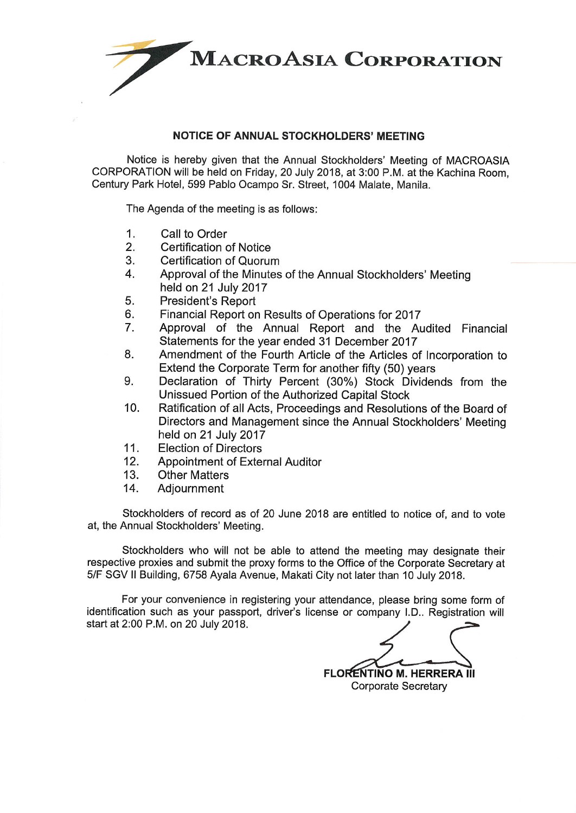

## **NOTICE OF ANNUAL STOCKHOLDERS' MEETING**

Notice is hereby given that the Annual Stockholders' Meeting of MACROASIA CORPORATION will be held on Friday, 20 July 2018, at 3:00 P.M. at the Kachina Room. Century Park Hotel, 599 Pablo Ocampo Sr. Street, 1004 Malate, Manila.

The Agenda of the meeting is as follows:

- $1.$ Call to Order
- $2.$ Certification of Notice
- 3. Certification of Quorum
- 4. Approval of the Minutes of the Annual Stockholders' Meeting held on 21 July 2017
- 5. **President's Report**
- 6. Financial Report on Results of Operations for 2017
- 7. Approval of the Annual Report and the Audited Financial Statements for the year ended 31 December 2017
- 8. Amendment of the Fourth Article of the Articles of Incorporation to Extend the Corporate Term for another fifty (50) years
- Declaration of Thirty Percent (30%) Stock Dividends from the 9. Unissued Portion of the Authorized Capital Stock
- $10.$ Ratification of all Acts, Proceedings and Resolutions of the Board of Directors and Management since the Annual Stockholders' Meeting held on 21 July 2017
- $11.$ **Election of Directors**
- Appointment of External Auditor  $12.$
- $13.$ **Other Matters**
- $14.$ Adiournment

Stockholders of record as of 20 June 2018 are entitled to notice of, and to vote at, the Annual Stockholders' Meeting.

Stockholders who will not be able to attend the meeting may designate their respective proxies and submit the proxy forms to the Office of the Corporate Secretary at 5/F SGV II Building, 6758 Ayala Avenue, Makati City not later than 10 July 2018.

For your convenience in registering your attendance, please bring some form of identification such as your passport, driver's license or company I.D.. Registration will start at 2:00 P.M. on 20 July 2018.

**FLORENTINO M. HERRERA III Corporate Secretary**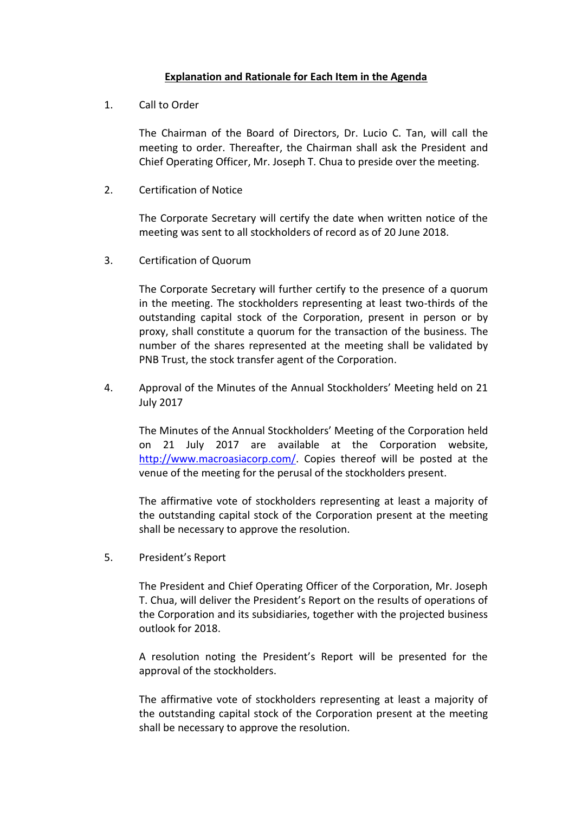## **Explanation and Rationale for Each Item in the Agenda**

1. Call to Order

The Chairman of the Board of Directors, Dr. Lucio C. Tan, will call the meeting to order. Thereafter, the Chairman shall ask the President and Chief Operating Officer, Mr. Joseph T. Chua to preside over the meeting.

2. Certification of Notice

The Corporate Secretary will certify the date when written notice of the meeting was sent to all stockholders of record as of 20 June 2018.

3. Certification of Quorum

The Corporate Secretary will further certify to the presence of a quorum in the meeting. The stockholders representing at least two-thirds of the outstanding capital stock of the Corporation, present in person or by proxy, shall constitute a quorum for the transaction of the business. The number of the shares represented at the meeting shall be validated by PNB Trust, the stock transfer agent of the Corporation.

4. Approval of the Minutes of the Annual Stockholders' Meeting held on 21 July 2017

The Minutes of the Annual Stockholders' Meeting of the Corporation held on 21 July 2017 are available at the Corporation website, [http://www.macroasiacorp.com/.](http://www.macroasiacorp.com/) Copies thereof will be posted at the venue of the meeting for the perusal of the stockholders present.

The affirmative vote of stockholders representing at least a majority of the outstanding capital stock of the Corporation present at the meeting shall be necessary to approve the resolution.

5. President's Report

The President and Chief Operating Officer of the Corporation, Mr. Joseph T. Chua, will deliver the President's Report on the results of operations of the Corporation and its subsidiaries, together with the projected business outlook for 2018.

A resolution noting the President's Report will be presented for the approval of the stockholders.

The affirmative vote of stockholders representing at least a majority of the outstanding capital stock of the Corporation present at the meeting shall be necessary to approve the resolution.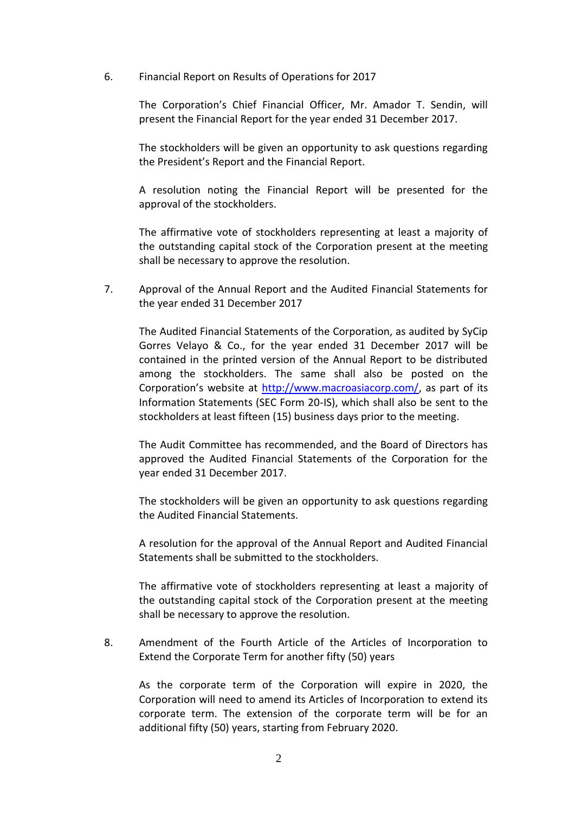6. Financial Report on Results of Operations for 2017

The Corporation's Chief Financial Officer, Mr. Amador T. Sendin, will present the Financial Report for the year ended 31 December 2017.

The stockholders will be given an opportunity to ask questions regarding the President's Report and the Financial Report.

A resolution noting the Financial Report will be presented for the approval of the stockholders.

The affirmative vote of stockholders representing at least a majority of the outstanding capital stock of the Corporation present at the meeting shall be necessary to approve the resolution.

7. Approval of the Annual Report and the Audited Financial Statements for the year ended 31 December 2017

The Audited Financial Statements of the Corporation, as audited by SyCip Gorres Velayo & Co., for the year ended 31 December 2017 will be contained in the printed version of the Annual Report to be distributed among the stockholders. The same shall also be posted on the Corporation's website at [http://www.macroasiacorp.com/,](http://www.macroasiacorp.com/) as part of its Information Statements (SEC Form 20-IS), which shall also be sent to the stockholders at least fifteen (15) business days prior to the meeting.

The Audit Committee has recommended, and the Board of Directors has approved the Audited Financial Statements of the Corporation for the year ended 31 December 2017.

The stockholders will be given an opportunity to ask questions regarding the Audited Financial Statements.

A resolution for the approval of the Annual Report and Audited Financial Statements shall be submitted to the stockholders.

The affirmative vote of stockholders representing at least a majority of the outstanding capital stock of the Corporation present at the meeting shall be necessary to approve the resolution.

8. Amendment of the Fourth Article of the Articles of Incorporation to Extend the Corporate Term for another fifty (50) years

As the corporate term of the Corporation will expire in 2020, the Corporation will need to amend its Articles of Incorporation to extend its corporate term. The extension of the corporate term will be for an additional fifty (50) years, starting from February 2020.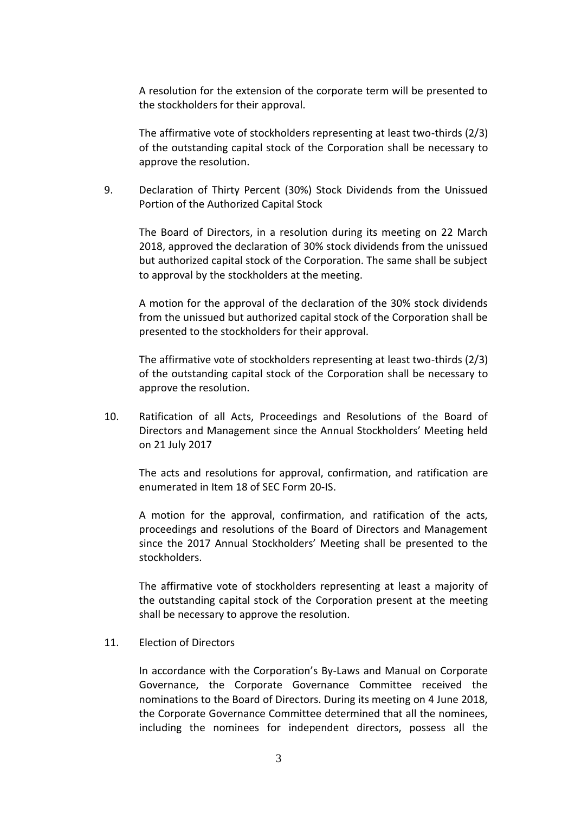A resolution for the extension of the corporate term will be presented to the stockholders for their approval.

The affirmative vote of stockholders representing at least two-thirds (2/3) of the outstanding capital stock of the Corporation shall be necessary to approve the resolution.

9. Declaration of Thirty Percent (30%) Stock Dividends from the Unissued Portion of the Authorized Capital Stock

The Board of Directors, in a resolution during its meeting on 22 March 2018, approved the declaration of 30% stock dividends from the unissued but authorized capital stock of the Corporation. The same shall be subject to approval by the stockholders at the meeting.

A motion for the approval of the declaration of the 30% stock dividends from the unissued but authorized capital stock of the Corporation shall be presented to the stockholders for their approval.

The affirmative vote of stockholders representing at least two-thirds (2/3) of the outstanding capital stock of the Corporation shall be necessary to approve the resolution.

10. Ratification of all Acts, Proceedings and Resolutions of the Board of Directors and Management since the Annual Stockholders' Meeting held on 21 July 2017

The acts and resolutions for approval, confirmation, and ratification are enumerated in Item 18 of SEC Form 20-IS.

A motion for the approval, confirmation, and ratification of the acts, proceedings and resolutions of the Board of Directors and Management since the 2017 Annual Stockholders' Meeting shall be presented to the stockholders.

The affirmative vote of stockholders representing at least a majority of the outstanding capital stock of the Corporation present at the meeting shall be necessary to approve the resolution.

11. Election of Directors

In accordance with the Corporation's By-Laws and Manual on Corporate Governance, the Corporate Governance Committee received the nominations to the Board of Directors. During its meeting on 4 June 2018, the Corporate Governance Committee determined that all the nominees, including the nominees for independent directors, possess all the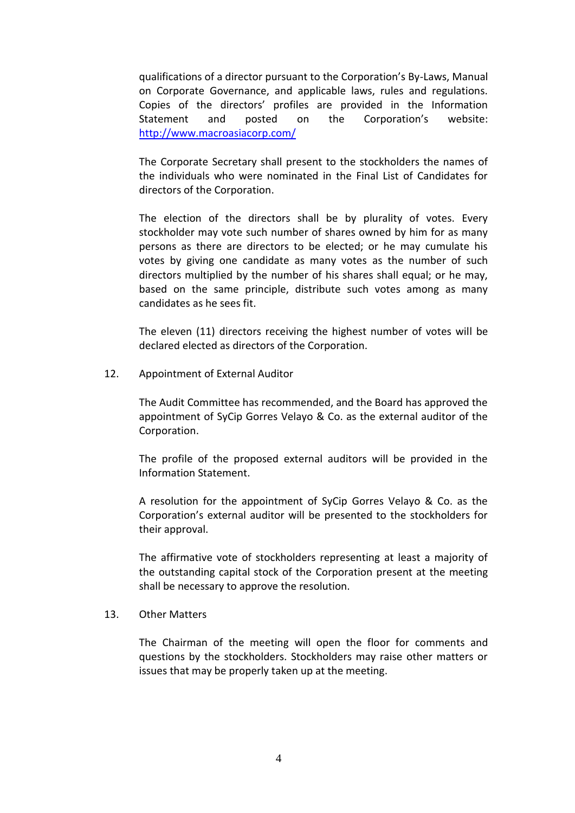qualifications of a director pursuant to the Corporation's By-Laws, Manual on Corporate Governance, and applicable laws, rules and regulations. Copies of the directors' profiles are provided in the Information Statement and posted on the Corporation's website: <http://www.macroasiacorp.com/>

The Corporate Secretary shall present to the stockholders the names of the individuals who were nominated in the Final List of Candidates for directors of the Corporation.

The election of the directors shall be by plurality of votes. Every stockholder may vote such number of shares owned by him for as many persons as there are directors to be elected; or he may cumulate his votes by giving one candidate as many votes as the number of such directors multiplied by the number of his shares shall equal; or he may, based on the same principle, distribute such votes among as many candidates as he sees fit.

The eleven (11) directors receiving the highest number of votes will be declared elected as directors of the Corporation.

12. Appointment of External Auditor

The Audit Committee has recommended, and the Board has approved the appointment of SyCip Gorres Velayo & Co. as the external auditor of the Corporation.

The profile of the proposed external auditors will be provided in the Information Statement.

A resolution for the appointment of SyCip Gorres Velayo & Co. as the Corporation's external auditor will be presented to the stockholders for their approval.

The affirmative vote of stockholders representing at least a majority of the outstanding capital stock of the Corporation present at the meeting shall be necessary to approve the resolution.

## 13. Other Matters

The Chairman of the meeting will open the floor for comments and questions by the stockholders. Stockholders may raise other matters or issues that may be properly taken up at the meeting.